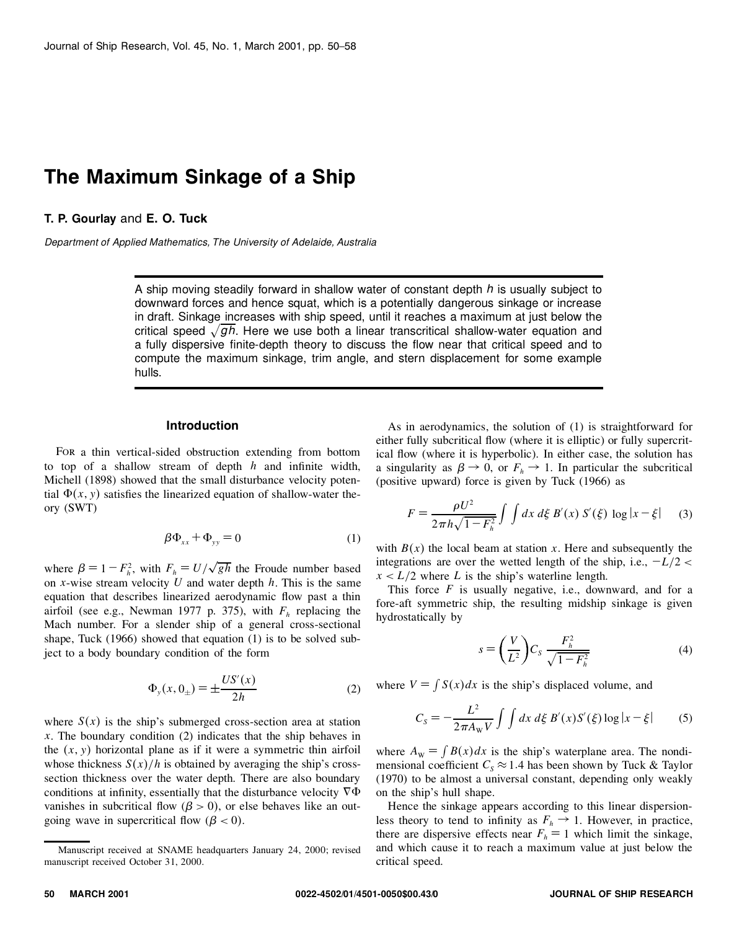# **The Maximum Sinkage of a Ship**

# **T. P. Gourlay** and **E. O. Tuck**

*Department of Applied Mathematics, The University of Adelaide, Australia*

A ship moving steadily forward in shallow water of constant depth *h* is usually subject to downward forces and hence squat, which is a potentially dangerous sinkage or increase in draft. Sinkage increases with ship speed, until it reaches a maximum at just below the critical speed  $\sqrt{gh}$ . Here we use both a linear transcritical shallow-water equation and a fully dispersive finite-depth theory to discuss the flow near that critical speed and to compute the maximum sinkage, trim angle, and stern displacement for some example hulls.

# **Introduction**

For a thin vertical-sided obstruction extending from bottom to top of a shallow stream of depth  $h$  and infinite width, Michell (1898) showed that the small disturbance velocity potential  $\Phi(x, y)$  satisfies the linearized equation of shallow-water theory (SWT)

$$
\beta \Phi_{xx} + \Phi_{yy} = 0 \tag{1}
$$

where  $\beta = 1 - F_h^2$ , with  $F_h = U/\sqrt{gh}$  the Froude number based  $\frac{1}{h}$ on *x*-wise stream velocity *U* and water depth *h*. This is the same equation that describes linearized aerodynamic flow past a thin airfoil (see e.g., Newman 1977 p. 375), with  $F<sub>h</sub>$  replacing the Mach number. For a slender ship of a general cross-sectional shape, Tuck (1966) showed that equation (1) is to be solved subject to a body boundary condition of the form

$$
\Phi_y(x, 0_\pm) = \pm \frac{US'(x)}{2h} \tag{2}
$$

where  $S(x)$  is the ship's submerged cross-section area at station *x*. The boundary condition (2) indicates that the ship behaves in the  $(x, y)$  horizontal plane as if it were a symmetric thin airfoil whose thickness  $S(x)/h$  is obtained by averaging the ship's crosssection thickness over the water depth. There are also boundary conditions at infinity, essentially that the disturbance velocity  $\nabla \Phi$ vanishes in subcritical flow ( $\beta$  > 0), or else behaves like an outgoing wave in supercritical flow  $(\beta < 0)$ .

As in aerodynamics, the solution of (1) is straightforward for either fully subcritical flow (where it is elliptic) or fully supercritical flow (where it is hyperbolic). In either case, the solution has a singularity as  $\beta \rightarrow 0$ , or  $F_h \rightarrow 1$ . In particular the subcritical (positive upward) force is given by Tuck (1966) as

$$
F = \frac{\rho U^2}{2\pi h \sqrt{1 - F_h^2}} \int \int dx \, d\xi \, B'(x) \, S'(\xi) \, \log|x - \xi| \qquad (3)
$$

with  $B(x)$  the local beam at station x. Here and subsequently the integrations are over the wetted length of the ship, i.e.,  $-L/2 <$  $x < L/2$  where *L* is the ship's waterline length.

This force  $F$  is usually negative, i.e., downward, and for a fore-aft symmetric ship, the resulting midship sinkage is given hydrostatically by

$$
s = \left(\frac{V}{L^2}\right)C_s \frac{F_h^2}{\sqrt{1 - F_h^2}}\tag{4}
$$

where  $V = \int S(x)dx$  is the ship's displaced volume, and

$$
C_{S} = -\frac{L^{2}}{2\pi A_{W}V} \int \int dx \, d\xi \, B'(x)S'(\xi) \log|x - \xi| \qquad (5)
$$

where  $A_w = \int B(x)dx$  is the ship's waterplane area. The nondimensional coefficient  $C_s \approx 1.4$  has been shown by Tuck & Taylor (1970) to be almost a universal constant, depending only weakly on the ship's hull shape.

Hence the sinkage appears according to this linear dispersionless theory to tend to infinity as  $F_h \to 1$ . However, in practice, there are dispersive effects near  $F_h = 1$  which limit the sinkage, and which cause it to reach a maximum value at just below the critical speed.

Manuscript received at SNAME headquarters January 24, 2000; revised manuscript received October 31, 2000.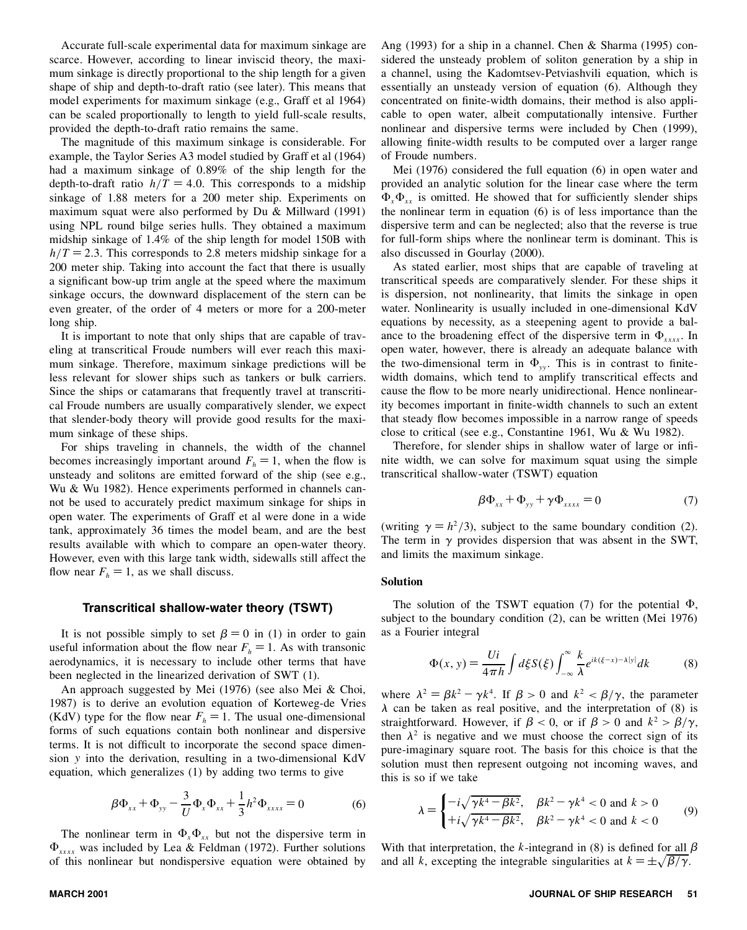Accurate full-scale experimental data for maximum sinkage are scarce. However, according to linear inviscid theory, the maxi mum sinkage is directly proportional to the ship length for a given shape of ship and depth-to-draft ratio (see later). This means that model experiments for maximum sinkage (e.g., Graff et al 1964) can be scaled proportionally to length to yield full-scale results, provided the depth-to-draft ratio remains the same.

The magnitude of this maximum sinkage is considerable. For example, the Taylor Series A3 model studied by Graff et al (1964) had a maximum sinkage of 0.89% of the ship length for the depth-to-draft ratio  $h/T = 4.0$ . This corresponds to a midship sinkage of 1.88 meters for a 200 meter ship. Experiments on maximum squat were also performed by Du & Millward (1991) using NPL round bilge series hulls. They obtained a maximum midship sinkage of 1.4% of the ship length for model 150B with  $h/T = 2.3$ . This corresponds to 2.8 meters midship sinkage for a 200 meter ship. Taking into account the fact that there is usually a significant bow-up trim angle at the speed where the maximum sinkage occurs, the downward displacement of the stern can be even greater, of the order of 4 meters or more for a 200-meter long ship.

It is important to note that only ships that are capable of traveling at transcritical Froude numbers will ever reach this maxi mum sinkage. Therefore, maximum sinkage predictions will be less relevant for slower ships such as tankers or bulk carriers. Since the ships or catamarans that frequently travel at transcritical Froude numbers are usually comparatively slender, we expect that slender-body theory will provide good results for the maxi mum sinkage of these ships.

For ships traveling in channels, the width of the channel becomes increasingly important around  $F<sub>h</sub> = 1$ , when the flow is unsteady and solitons are emitted forward of the ship (see e.g., Wu & Wu 1982). Hence experiments performed in channels can not be used to accurately predict maximum sinkage for ships in open water. The experiments of Graff et al were done in a wide tank, approximately 36 times the model beam, and are the best results available with which to compare an open-water theory. However, even with this large tank width, sidewalls still affect the flow near  $F_h = 1$ , as we shall discuss.

### **Transcritical shallow-water theory (TSWT)**

It is not possible simply to set  $\beta = 0$  in (1) in order to gain useful information about the flow near  $F_h = 1$ . As with transonic aerodynamics, it is necessary to include other terms that have been neglected in the linearized derivation of SWT (1).

An approach suggested by Mei (1976) (see also Mei & Choi, 1987) is to derive an evolution equation of Korteweg-de Vries (KdV) type for the flow near  $F<sub>h</sub> = 1$ . The usual one-dimensional forms of such equations contain both nonlinear and dispersive terms. It is not difficult to incorporate the second space dimension *y* into the derivation, resulting in a two-dimensional KdV equation, which generalizes (1) by adding two terms to give

$$
\beta \Phi_{xx} + \Phi_{yy} - \frac{3}{U} \Phi_x \Phi_{xx} + \frac{1}{3} h^2 \Phi_{xxxx} = 0
$$
 (6)

The nonlinear term in  $\Phi_x \Phi_{xx}$  but not the dispersive term in  $\Phi_{xxxx}$  was included by Lea & Feldman (1972). Further solutions of this nonlinear but nondispersive equation were obtained by Ang (1993) for a ship in a channel. Chen & Sharma (1995) con sidered the unsteady problem of soliton generation by a ship in a channel, using the Kadomtsev-Petviashvili equation, which is essentially an unsteady version of equation (6). Although they concentrated on finite-width domains, their method is also applicable to open water, albeit computationally intensive. Further nonlinear and dispersive terms were included by Chen (1999), allowing finite-width results to be computed over a larger range of Froude numbers.

Mei (1976) considered the full equation (6) in open water and provided an analytic solution for the linear case where the term  $\Phi_{\rm r} \Phi_{\rm rr}$  is omitted. He showed that for sufficiently slender ships the nonlinear term in equation (6) is of less importance than the dispersive term and can be neglected; also that the reverse is true for full-form ships where the nonlinear term is dominant. This is also discussed in Gourlay (2000).

As stated earlier, most ships that are capable of traveling at transcritical speeds are comparatively slender. For these ships it is dispersion, not nonlinearity, that limits the sinkage in open water. Nonlinearity is usually included in one-dimensional KdV equations by necessity, as a steepening agent to provide a bal ance to the broadening effect of the dispersive term in  $\Phi_{xxxx}$ . In open water, however, there is already an adequate balance with the two-dimensional term in  $\Phi_{yy}$ . This is in contrast to finitewidth domains, which tend to amplify transcritical effects and cause the flow to be more nearly unidirectional. Hence nonlinearity becomes important in finite-width channels to such an extent that steady flow becomes impossible in a narrow range of speeds close to critical (see e.g., Constantine 1961, Wu & Wu 1982).

Therefore, for slender ships in shallow water of large or infinite width, we can solve for maximum squat using the simple transcritical shallow-water (TSWT) equation

$$
\beta \Phi_{xx} + \Phi_{yy} + \gamma \Phi_{xxxx} = 0 \tag{7}
$$

(writing  $\gamma = h^2/3$ ), subject to the same boundary condition (2). The term in  $\gamma$  provides dispersion that was absent in the SWT, and limits the maximum sinkage.

#### **Solution**

The solution of the TSWT equation (7) for the potential *ê*, subject to the boundary condition (2), can be written (Mei 1976) as a Fourier integral

$$
\Phi(x, y) = \frac{Ui}{4\pi h} \int d\xi S(\xi) \int_{-\infty}^{\infty} \frac{k}{\lambda} e^{ik(\xi - x) - \lambda |y|} dk \tag{8}
$$

where  $\lambda^2 = \beta k^2 - \gamma k^4$ . If  $\beta > 0$  and  $k^2 < \beta/\gamma$ , the parameter  $\lambda$  can be taken as real positive, and the interpretation of (8) is straightforward. However, if  $\beta < 0$ , or if  $\beta > 0$  and  $k^2 > \beta/\gamma$ , then  $\lambda^2$  is negative and we must choose the correct sign of its pure-imaginary square root. The basis for this choice is that the solution must then represent outgoing not incoming waves, and this is so if we take

$$
\lambda = \begin{cases}\n-i\sqrt{\gamma k^4 - \beta k^2}, & \beta k^2 - \gamma k^4 < 0 \text{ and } k > 0 \\
+i\sqrt{\gamma k^4 - \beta k^2}, & \beta k^2 - \gamma k^4 < 0 \text{ and } k < 0\n\end{cases}
$$
(9)

With that interpretation, the *k*-integrand in (8) is defined for all  $\beta$ and all *k*, excepting the integrable singularities at  $k = \pm \sqrt{\beta/\gamma}$ .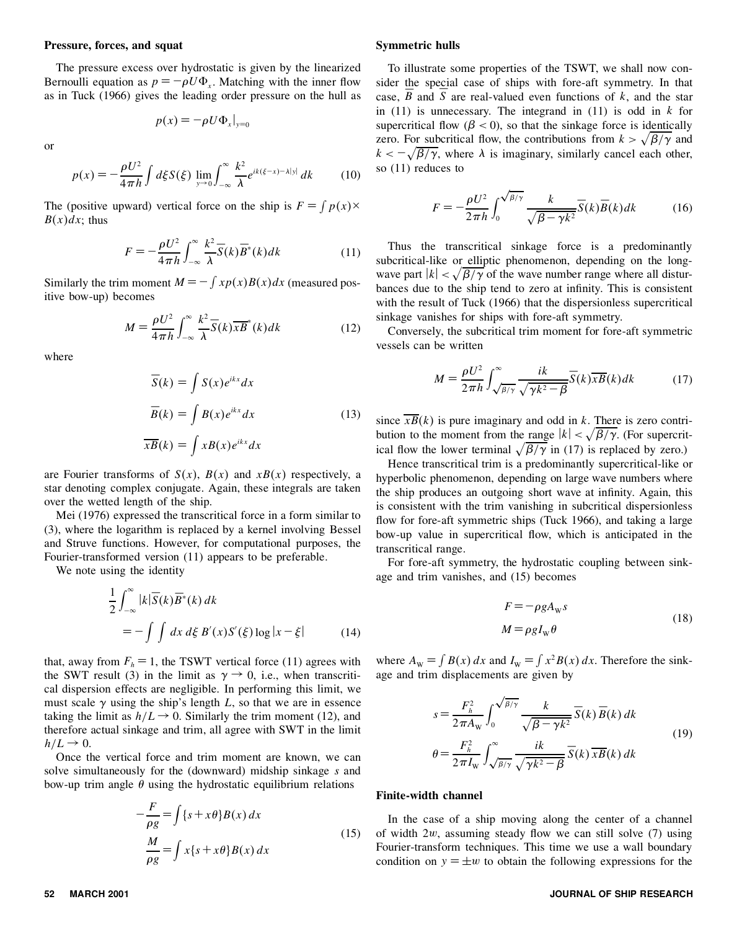### **Pressure, forces, and squat**

The pressure excess over hydrostatic is given by the linearized Bernoulli equation as  $p = -\rho U \Phi_x$ . Matching with the inner flow sic as in Tuck (1966) gives the leading order pressure on the hull as

$$
p(x) = -\rho U \Phi_x |_{y=0}
$$

or

$$
p(x) = -\frac{\rho U^2}{4\pi h} \int d\xi S(\xi) \lim_{y \to 0} \int_{-\infty}^{\infty} \frac{k^2}{\lambda} e^{ik(\xi - x) - \lambda |y|} dk \tag{10}
$$

The (positive upward) vertical force on the ship is  $F = \int p(x) \times$  $B(x)dx$ ; thus

$$
F = -\frac{\rho U^2}{4\pi h} \int_{-\infty}^{\infty} \frac{k^2}{\lambda} \overline{S}(k) \overline{B}^*(k) dk
$$
 (11)

Similarly the trim moment  $M = -\int x p(x) B(x) dx$  (measured positive bow-up) becomes

$$
M = \frac{\rho U^2}{4\pi h} \int_{-\infty}^{\infty} \frac{k^2}{\lambda} \overline{S}(k) \overline{xB}^*(k) dk
$$
 (12)

where

$$
\overline{S}(k) = \int S(x)e^{ikx}dx
$$
  

$$
\overline{B}(k) = \int B(x)e^{ikx}dx
$$
  

$$
\overline{xB}(k) = \int xB(x)e^{ikx}dx
$$
 (13)

are Fourier transforms of  $S(x)$ ,  $B(x)$  and  $xB(x)$  respectively, a star denoting complex conjugate. Again, these integrals are taken over the wetted length of the ship.

Mei (1976) expressed the transcritical force in a form similar to (3), where the logarithm is replaced by a kernel involving Bessel and Struve functions. However, for computational purposes, the Fourier-transformed version (11) appears to be preferable.

We note using the identity

$$
\frac{1}{2} \int_{-\infty}^{\infty} |k| \overline{S}(k) \overline{B}^*(k) dk
$$
  
= 
$$
- \int \int dx d\xi B'(x) S'(\xi) \log |x - \xi|
$$
 (14)

that, away from  $F_h = 1$ , the TSWT vertical force (11) agrees with the SWT result (3) in the limit as  $\gamma \rightarrow 0$ , i.e., when transcritical dispersion effects are negligible. In performing this limit, we must scale  $\gamma$  using the ship's length L, so that we are in essence taking the limit as  $h/L \rightarrow 0$ . Similarly the trim moment (12), and therefore actual sinkage and trim, all agree with SWT in the limit  $h/L \rightarrow 0.$ 

Once the vertical force and trim moment are known, we can solve simultaneously for the (downward) midship sinkage *s* and bow-up trim angle  $\theta$  using the hydrostatic equilibrium relations

$$
-\frac{F}{\rho g} = \int \{s + x\theta\} B(x) dx
$$
  

$$
\frac{M}{\rho g} = \int x\{s + x\theta\} B(x) dx
$$
 (15)

### **Symmetric hulls**

To illustrate some properties of the TSWT, we shall now con sider the special case of ships with fore-aft symmetry. In that case,  $B$  and  $S$  are real-valued even functions of  $k$ , and the star in (11) is unnecessary. The integrand in (11) is odd in *k* for supercritical flow  $(\beta < 0)$ , so that the sinkage force is identically zero. For subcritical flow, the contributions from  $k > \sqrt{\beta/\gamma}$  and  $k < -\sqrt{\beta/\gamma}$ , where  $\lambda$  is imaginary, similarly cancel each other, so (11) reduces to

$$
F = -\frac{\rho U^2}{2\pi h} \int_0^{\sqrt{\beta/\gamma}} \frac{k}{\sqrt{\beta - \gamma k^2}} \overline{S}(k) \overline{B}(k) dk
$$
 (16)

Thus the transcritical sinkage force is a predominantly subcritical-like or elliptic phenomenon, depending on the long wave part  $|k| < \sqrt{\beta/\gamma}$  of the wave number range where all disturbances due to the ship tend to zero at infinity. This is consistent with the result of Tuck (1966) that the dispersionless supercritical sinkage vanishes for ships with fore-aft symmetry.

Conversely, the subcritical trim moment for fore-aft symmetric vessels can be written

$$
M = \frac{\rho U^2}{2\pi h} \int_{\sqrt{\beta/\gamma}}^{\infty} \frac{ik}{\sqrt{\gamma k^2 - \beta}} \overline{S}(k) \overline{x} \overline{B}(k) dk
$$
 (17)

since  $\overline{xB}(k)$  is pure imaginary and odd in *k*. There is zero contribution to the moment from the <u>range</u>  $|k| < \sqrt{\beta/\gamma}$ . (For supercritical flow the lower terminal  $\sqrt{\beta/\gamma}$  in (17) is replaced by zero.)

Hence transcritical trim is a predominantly supercritical-like or hyperbolic phenomenon, depending on large wave numbers where the ship produces an outgoing short wave at infinity. Again, this is consistent with the trim vanishing in subcritical dispersionless flow for fore-aft symmetric ships (Tuck 1966), and taking a large bow-up value in supercritical flow, which is anticipated in the transcritical range.

For fore-aft symmetry, the hydrostatic coupling between sinkage and trim vanishes, and (15) becomes

$$
F = -\rho g A_w s
$$
  

$$
M = \rho g I_w \theta
$$
 (18)

where  $A_w = \int B(x) dx$  and  $I_w = \int x^2 B(x) dx$ . Therefore the sinkage and trim displacements are given by

$$
s = \frac{F_h^2}{2\pi A_w} \int_0^{\sqrt{\beta/\gamma}} \frac{k}{\sqrt{\beta - \gamma k^2}} \overline{S}(k) \overline{B}(k) dk
$$
  

$$
\theta = \frac{F_h^2}{2\pi I_w} \int_{\sqrt{\beta/\gamma}}^{\infty} \frac{ik}{\sqrt{\gamma k^2 - \beta}} \overline{S}(k) \overline{xB}(k) dk
$$
 (19)

### **Finite-width channel**

In the case of a ship moving along the center of a channel of width  $2w$ , assuming steady flow we can still solve  $(7)$  using Fourier-transform techniques. This time we use a wall boundary condition on  $y = \pm w$  to obtain the following expressions for the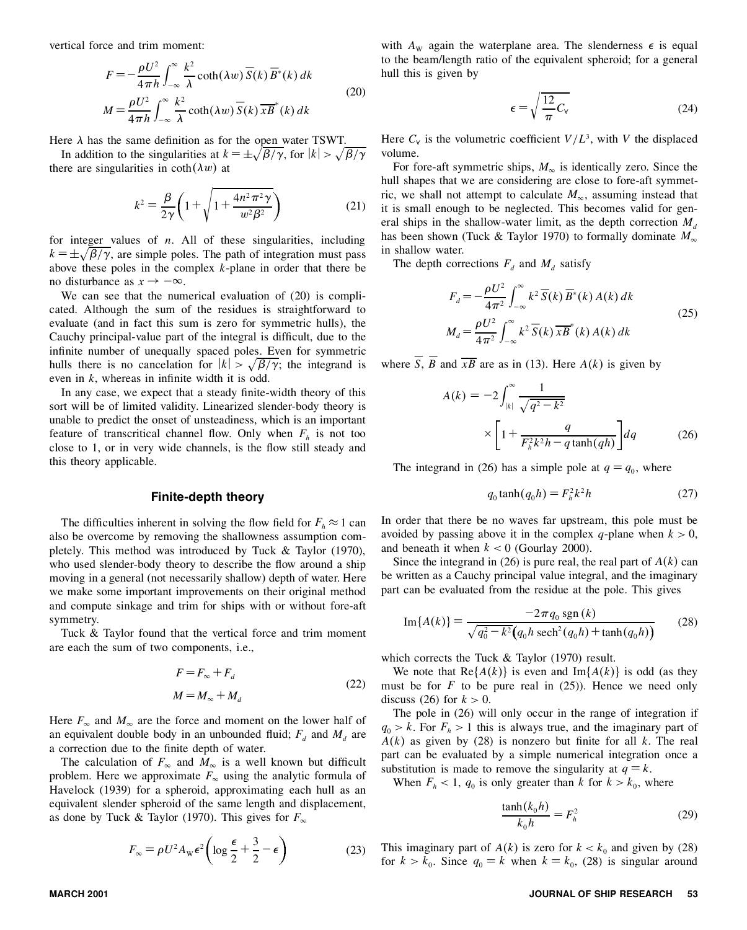vertical force and trim moment:

$$
F = -\frac{\rho U^2}{4\pi h} \int_{-\infty}^{\infty} \frac{k^2}{\lambda} \coth(\lambda w) \overline{S}(k) \overline{B}^*(k) dk
$$
  

$$
M = \frac{\rho U^2}{4\pi h} \int_{-\infty}^{\infty} \frac{k^2}{\lambda} \coth(\lambda w) \overline{S}(k) \overline{xB}^*(k) dk
$$
 (20)

Here  $\lambda$  has the same definition as for the open water TSWT.

In addition to the singularities at  $k = \pm \sqrt{\beta/\gamma}$ , for  $|k| > \sqrt{\beta/\gamma}$  v there are singularities in  $\coth(\lambda w)$  at

$$
k^{2} = \frac{\beta}{2\gamma} \left( 1 + \sqrt{1 + \frac{4n^{2}\pi^{2}\gamma}{w^{2}\beta^{2}}} \right)
$$
 (21)

for integer values of *n*. All of these singularities, including  $k = \pm \sqrt{\beta/\gamma}$ , are simple poles. The path of integration must pass above these poles in the complex *k*-plane in order that there be no disturbance as  $x \rightarrow -\infty$ .<br>We can see that the numerical evaluation of (20) is compli-

cated. Although the sum of the residues is straightforward to evaluate (and in fact this sum is zero for symmetric hulls), the Cauchy principal-value part of the integral is difficult, due to the infinite number of unequally spaced poles. Even for symmetric hulls there is no cancelation for  $|k| > \sqrt{\beta/\gamma}$ ; the integrand is even in  $k$ , whereas in infinite width it is odd.

In any case, we expect that a steady finite-width theory of this sort will be of limited validity. Linearized slender-body theory is unable to predict the onset of unsteadiness, which is an important feature of transcritical channel flow. Only when  $F_h$  is not too close to 1, or in very wide channels, is the flow still steady and this theory applicable.

### **Finite-depth theory**

The difficulties inherent in solving the flow field for  $F_h \approx 1$  can also be overcome by removing the shallowness assumption com pletely. This method was introduced by Tuck & Taylor (1970), who used slender-body theory to describe the flow around a ship moving in a general (not necessarily shallow) depth of water. Here we make some important improvements on their original method and compute sinkage and trim for ships with or without fore-aft symmetry.

Tuck & Taylor found that the vertical force and trim moment are each the sum of two components, i.e.,

$$
F = F_{\infty} + F_d
$$
  
\n
$$
M = M_{\infty} + M_d
$$
\n(22)

Here  $F_{\infty}$  and  $M_{\infty}$  are the force and moment on the lower half of an equivalent double body in an unbounded fluid;  $F_d$  and  $M_d$  are a correction due to the finite depth of water.

The calculation of  $F_\infty$  and  $M_\infty$  is a well known but difficult problem. Here we approximate  $F_\infty$  using the analytic formula of Havelock (1939) for a spheroid, approximating each hull as an equivalent slender spheroid of the same length and displacement, as done by Tuck & Taylor (1970). This gives for  $F_{\infty}$ 

$$
F_{\infty} = \rho U^2 A_{\rm w} \epsilon^2 \left( \log \frac{\epsilon}{2} + \frac{3}{2} - \epsilon \right) \tag{23}
$$

with  $A_w$  again the waterplane area. The slenderness  $\epsilon$  is equal to the beam/length ratio of the equivalent spheroid; for a general hull this is given by

$$
\epsilon = \sqrt{\frac{12}{\pi} C_{\rm v}}\tag{24}
$$

Here  $C_\forall$  is the volumetric coefficient  $V/L^3$ , with *V* the displaced volume.

For fore-aft symmetric ships,  $M_{\infty}$  is identically zero. Since the hull shapes that we are considering are close to fore-aft symmetric, we shall not attempt to calculate  $M_{\infty}$ , assuming instead that it is small enough to be neglected. This becomes valid for general ships in the shallow-water limit, as the depth correction  $M_d$  has been shown (Tuck & Taylor 1970) to formally dominate  $M_\infty$ in shallow water.

The depth corrections  $F_d$  and  $M_d$  satisfy

$$
F_d = -\frac{\rho U^2}{4\pi^2} \int_{-\infty}^{\infty} k^2 \overline{S}(k) \overline{B}^*(k) A(k) dk
$$
  

$$
M_d = \frac{\rho U^2}{4\pi^2} \int_{-\infty}^{\infty} k^2 \overline{S}(k) \overline{xB}^*(k) A(k) dk
$$
 (25)

where *S*,  $\overline{B}$  and  $\overline{xB}$  are as in (13). Here *A(k)* is given by

$$
A(k) = -2 \int_{|k|}^{\infty} \frac{1}{\sqrt{q^2 - k^2}}
$$

$$
\times \left[ 1 + \frac{q}{F_h^2 k^2 h - q \tanh(qh)} \right] dq \tag{26}
$$

The integrand in (26) has a simple pole at  $q = q_0$ , where

$$
q_0 \tanh(q_0 h) = F_h^2 k^2 h \tag{27}
$$

In order that there be no waves far upstream, this pole must be avoided by passing above it in the complex *q*-plane when  $k > 0$ , and beneath it when  $k < 0$  (Gourlay 2000).

Since the integrand in (26) is pure real, the real part of  $A(k)$  can be written as a Cauchy principal value integral, and the imaginary part can be evaluated from the residue at the pole. This gives

Im{
$$
A(k)
$$
} = 
$$
\frac{-2\pi q_0 \operatorname{sgn}(k)}{\sqrt{q_0^2 - k^2} (q_0 h \operatorname{sech}^2(q_0 h) + \tanh(q_0 h))}
$$
 (28)

which corrects the Tuck & Taylor (1970) result.

We note that  $\text{Re}\{A(k)\}\$ is even and  $\text{Im}\{A(k)\}\$ is odd (as they must be for  $F$  to be pure real in  $(25)$ ). Hence we need only discuss (26) for  $k > 0$ .

The pole in (26) will only occur in the range of integration if  $q_0 > k$ . For  $F_h > 1$  this is always true, and the imaginary part of  $A(k)$  as given by (28) is nonzero but finite for all k. The real part can be evaluated by a simple numerical integration once a substitution is made to remove the singularity at  $q = k$ . When  $F_h < 1$ ,  $q_0$  is only greater than  $k$  for  $k > k_0$ , where

$$
\frac{\tanh(k_0 h)}{k_0 h} = F_h^2
$$
 (29)

This imaginary part of  $A(k)$  is zero for  $k < k_0$  and given by (28) for  $k > k_0$ . Since  $q_0 = k$  when  $k = k_0$ , (28) is singular around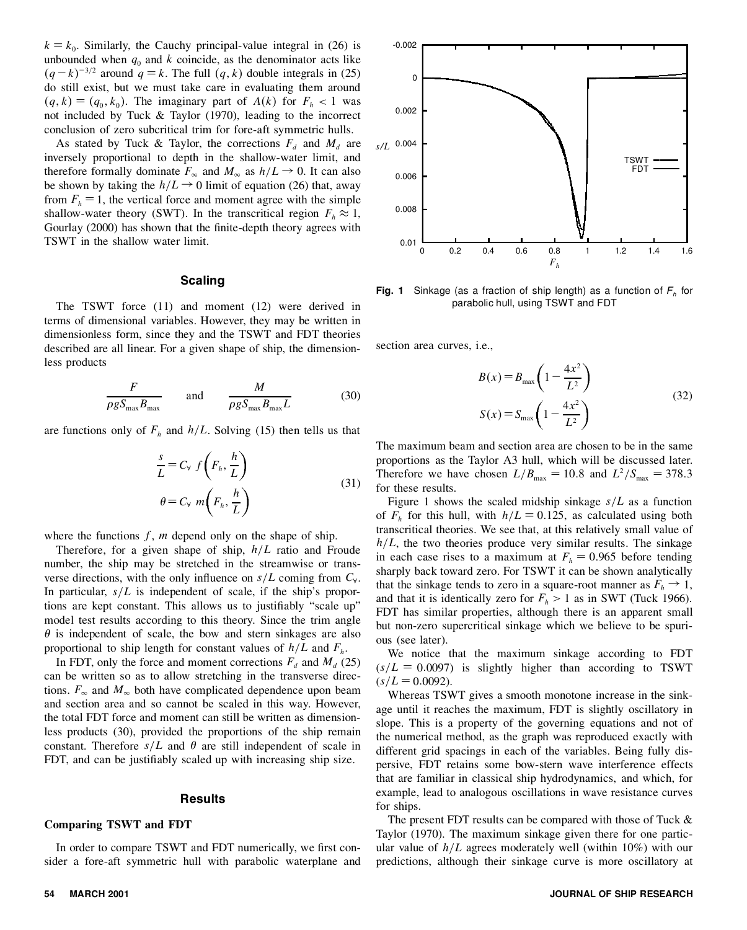$k = k_0$ . Similarly, the Cauchy principal-value integral in (26) is unbounded when  $q_0$  and  $k$  coincide, as the denominator acts like  $(q-k)^{-3/2}$  around  $q = k$ . The full  $(q, k)$  double integrals in (25) do still exist, but we must take care in evaluating them around  $(q, k) = (q_0, k_0)$ . The imaginary part of  $A(k)$  for  $F_h < 1$  was not included by Tuck & Taylor (1970), leading to the incorrect conclusion of zero subcritical trim for fore-aft symmetric hulls.

As stated by Tuck & Taylor, the corrections  $F_d$  and  $M_d$  are inversely proportional to depth in the shallow-water limit, and therefore formally dominate  $F_{\infty}$  and  $M_{\infty}$  as  $h/L \rightarrow 0$ . It can also be shown by taking the  $h/L \rightarrow 0$  limit of equation (26) that, away from  $F_h = 1$ , the vertical force and moment agree with the simple shallow-water theory (SWT). In the transcritical region  $F_h \approx 1$ , Gourlay (2000) has shown that the finite-depth theory agrees with TSWT in the shallow water limit.

# **Scaling**

The TSWT force (11) and moment (12) were derived in terms of dimensional variables. However, they may be written in dimensionless form, since they and the TSWT and FDT theories described are all linear. For a given shape of ship, the dimensionless products

$$
\frac{F}{\rho g S_{\text{max}} B_{\text{max}}} \quad \text{and} \quad \frac{M}{\rho g S_{\text{max}} B_{\text{max}} L} \quad (30)
$$

are functions only of  $F_h$  and  $h/L$ . Solving (15) then tells us that

$$
\frac{s}{L} = C_v f\left(F_h, \frac{h}{L}\right)
$$
  
\n
$$
\theta = C_v m\left(F_h, \frac{h}{L}\right)
$$
\n(31)

where the functions  $f$ ,  $m$  depend only on the shape of ship.

Therefore, for a given shape of ship,  $h/L$  ratio and Froude number, the ship may be stretched in the streamwise or trans verse directions, with the only influence on  $s/L$  coming from  $C_{\rm v}$ . In particular,  $s/L$  is independent of scale, if the ship's proportions are kept constant. This allows us to justifiably "scale up" model test results according to this theory. Since the trim angle  $\theta$  is independent of scale, the bow and stern sinkages are also proportional to ship length for constant values of  $h/L$  and  $F_h$ .

In FDT, only the force and moment corrections  $F_d$  and  $M_d$  (25) can be written so as to allow stretching in the transverse directions.  $F_\infty$  and  $M_\infty$  both have complicated dependence upon beam and section area and so cannot be scaled in this way. However, the total FDT force and moment can still be written as dimensionless products (30), provided the proportions of the ship remain constant. Therefore  $s/L$  and  $\theta$  are still independent of scale in FDT, and can be justifiably scaled up with increasing ship size.

# **Results**

# **Comparing TSWT and FDT**

In order to compare TSWT and FDT numerically, we first consider a fore-aft symmetric hull with parabolic waterplane and



**Fig. 1** Sinkage (as a fraction of ship length) as a function of *F<sup>h</sup>* for parabolic hull, using TSWT and FDT

section area curves, i.e.,

$$
B(x) = B_{\text{max}} \left( 1 - \frac{4x^2}{L^2} \right)
$$
  

$$
S(x) = S_{\text{max}} \left( 1 - \frac{4x^2}{L^2} \right)
$$
 (32)

The maximum beam and section area are chosen to be in the same proportions as the Taylor A3 hull, which will be discussed later. Therefore we have chosen  $L/B_{\text{max}} = 10.8$  and  $L^2/S_{\text{max}} = 378.3$ for these results.

Figure 1 shows the scaled midship sinkage  $s/L$  as a function of  $F_h$  for this hull, with  $h/L = 0.125$ , as calculated using both transcritical theories. We see that, at this relatively small value of  $h/L$ , the two theories produce very similar results. The sinkage in each case rises to a maximum at  $F_h = 0.965$  before tending sharply back toward zero. For TSWT it can be shown analytically that the sinkage tends to zero in a square-root manner as  $F_h \to 1$ , and that it is identically zero for  $F_h > 1$  as in SWT (Tuck 1966). FDT has similar properties, although there is an apparent small but non-zero supercritical sinkage which we believe to be spuri ous (see later).

We notice that the maximum sinkage according to FDT  $(s/L = 0.0097)$  is slightly higher than according to TSWT  $(s/L = 0.0092)$ .

Whereas TSWT gives a smooth monotone increase in the sinkage until it reaches the maximum, FDT is slightly oscillatory in slope. This is a property of the governing equations and not of the numerical method, as the graph was reproduced exactly with different grid spacings in each of the variables. Being fully dispersive, FDT retains some bow-stern wave interference effects that are familiar in classical ship hydrodynamics, and which, for example, lead to analogous oscillations in wave resistance curves for ships.

The present FDT results can be compared with those of Tuck & Taylor (1970). The maximum sinkage given there for one particular value of  $h/L$  agrees moderately well (within 10%) with our predictions, although their sinkage curve is more oscillatory at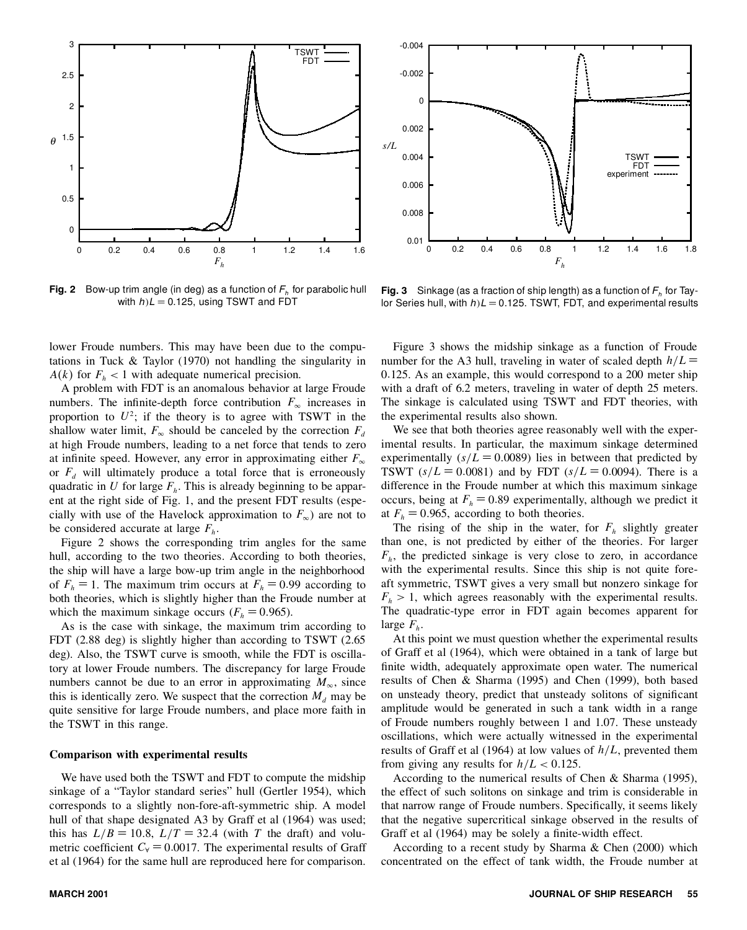

**Fig. 2** Bow-up trim angle (in deg) as a function of *F<sup>h</sup>* for parabolic hull with  $h/L = 0.125$ , using TSWT and FDT



-0.004

**Fig. 3** Sinkage (as a fraction of ship length) as a function of *F<sup>h</sup>* for Taylor Series hull, with  $h/L = 0.125$ . TSWT, FDT, and experimental results

lower Froude numbers. This may have been due to the computations in Tuck & Taylor (1970) not handling the singularity in  $A(k)$  for  $F<sub>h</sub> < 1$  with adequate numerical precision.

A problem with FDT is an anomalous behavior at large Froude numbers. The infinite-depth force contribution  $F_\infty$  increases in proportion to  $U^2$ ; if the theory is to agree with TSWT in the shallow water limit,  $F_{\infty}$  should be canceled by the correction  $F_d$  at high Froude numbers, leading to a net force that tends to zero at infinite speed. However, any error in approximating either  $F_\infty$ or  $F_d$  will ultimately produce a total force that is erroneously TSWT  $(s/L = 0.0081)$  and by FDT  $(s/L = 0.0094)$ . There is a quadratic in U for large  $F_b$ . This is already beginning to be appar-<br>difference in the Froude numb quadratic in *U* for large *F<sup>h</sup>* . This is already beginning to be apparent at the right side of Fig. 1, and the present FDT results (especially with use of the Havelock approximation to  $F_\infty$ ) are not to be considered accurate at large *F<sup>h</sup>* .

Figure 2 shows the corresponding trim angles for the same hull, according to the two theories. According to both theories, the ship will have a large bow-up trim angle in the neighborhood of  $F_h = 1$ . The maximum trim occurs at  $F_h = 0.99$  according to both theories, which is slightly higher than the Froude number at which the maximum sinkage occurs ( $F_h$  = 0.965).

As is the case with sinkage, the maximum trim according to FDT (2.88 deg) is slightly higher than according to TSWT (2.65 deg). Also, the TSWT curve is smooth, while the FDT is oscillatory at lower Froude numbers. The discrepancy for large Froude numbers cannot be due to an error in approximating  $M_{\infty}$ , since this is identically zero. We suspect that the correction  $M_d$  may be quite sensitive for large Froude numbers, and place more faith in the TSWT in this range.

### **Comparison with experimental results**

We have used both the TSWT and FDT to compute the midship sinkage of a "Taylor standard series" hull (Gertler 1954), which corresponds to a slightly non-fore-aft-symmetric ship. A model hull of that shape designated A3 by Graff et al (1964) was used; this has  $L/B = 10.8$ ,  $L/T = 32.4$  (with *T* the draft) and volumetric coefficient  $C_8 = 0.0017$ . The experimental results of Graff et al (1964) for the same hull are reproduced here for comparison.

Figure 3 shows the midship sinkage as a function of Froude number for the A3 hull, traveling in water of scaled depth  $h/L =$ 0*0*125. As an example, this would correspond to a 200 meter ship with a draft of 6.2 meters, traveling in water of depth 25 meters. The sinkage is calculated using TSWT and FDT theories, with the experimental results also shown.

We see that both theories agree reasonably well with the experimental results. In particular, the maximum sinkage determined experimentally  $(s/L = 0.0089)$  lies in between that predicted by TSWT ( $s/L = 0.0081$ ) and by FDT ( $s/L = 0.0094$ ). There is a occurs, being at  $F<sub>h</sub> = 0.89$  experimentally, although we predict it at  $F_h = 0.965$ , according to both theories.

The rising of the ship in the water, for  $F_h$  slightly greater than one, is not predicted by either of the theories. For larger  $F_h$ , the predicted sinkage is very close to zero, in accordance with the experimental results. Since this ship is not quite foreaft symmetric, TSWT gives a very small but nonzero sinkage for  $F_h$  > 1, which agrees reasonably with the experimental results. The quadratic-type error in FDT again becomes apparent for large *F<sup>h</sup>* .

At this point we must question whether the experimental results of Graff et al (1964), which were obtained in a tank of large but finite width, adequately approximate open water. The numerical results of Chen & Sharma (1995) and Chen (1999), both based on unsteady theory, predict that unsteady solitons of significant amplitude would be generated in such a tank width in a range of Froude numbers roughly between 1 and 1.07. These unsteady oscillations, which were actually witnessed in the experimental results of Graff et al (1964) at low values of  $h/L$ , prevented them from giving any results for  $h/L < 0.125$ .

According to the numerical results of Chen & Sharma (1995), the effect of such solitons on sinkage and trim is considerable in that narrow range of Froude numbers. Specifically, it seems likely that the negative supercritical sinkage observed in the results of Graff et al (1964) may be solely a finite-width effect.

According to a recent study by Sharma & Chen (2000) which concentrated on the effect of tank width, the Froude number at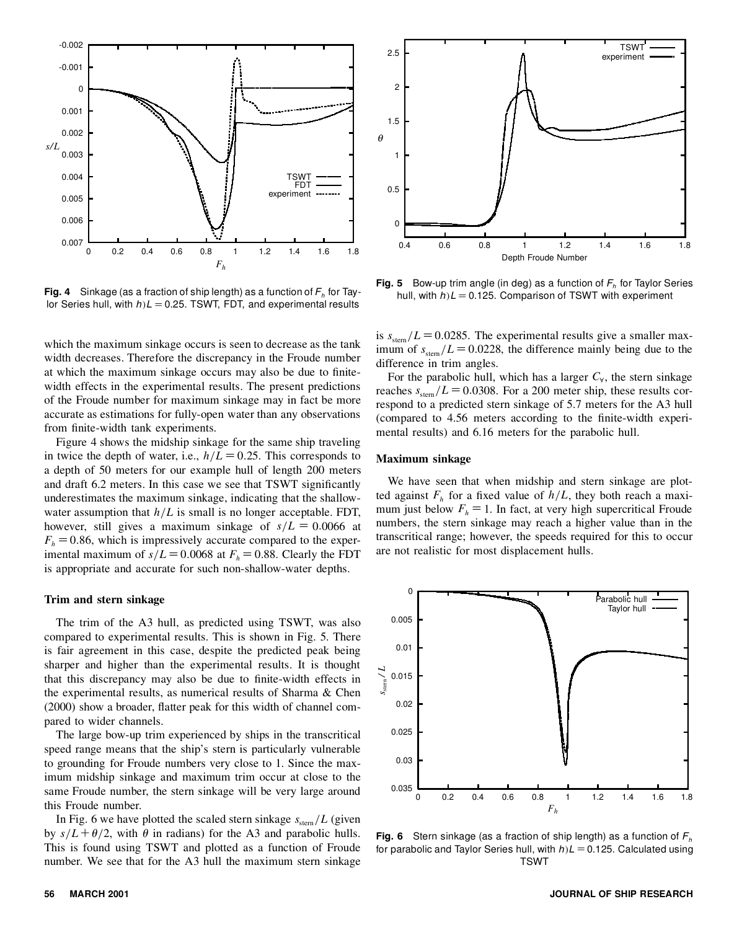

**Fig. 4** Sinkage (as a fraction of ship length) as a function of  $F_h$  for Taylor Series hull, with  $h/L = 0.25$ . TSWT, FDT, and experimental results

which the maximum sinkage occurs is seen to decrease as the tank width decreases. Therefore the discrepancy in the Froude number at which the maximum sinkage occurs may also be due to finitewidth effects in the experimental results. The present predictions of the Froude number for maximum sinkage may in fact be more accurate as estimations for fully-open water than any observations from finite-width tank experiments.

Figure 4 shows the midship sinkage for the same ship traveling in twice the depth of water, i.e.,  $h/L = 0.25$ . This corresponds to a depth of 50 meters for our example hull of length 200 meters and draft 6.2 meters. In this case we see that TSWT significantly underestimates the maximum sinkage, indicating that the shallowwater assumption that  $h/L$  is small is no longer acceptable. FDT, however, still gives a maximum sinkage of  $s/L = 0.0066$  at  $F<sub>h</sub> = 0.86$ , which is impressively accurate compared to the experimental maximum of  $s/L = 0.0068$  at  $F<sub>h</sub> = 0.88$ . Clearly the FDT is appropriate and accurate for such non-shallow-water depths.

### **Trim and stern sinkage**

The trim of the A3 hull, as predicted using TSWT, was also compared to experimental results. This is shown in Fig. 5. There is fair agreement in this case, despite the predicted peak being sharper and higher than the experimental results. It is thought that this discrepancy may also be due to finite-width effects in the experimental results, as numerical results of Sharma & Chen  $(2000)$  show a broader, flatter peak for this width of channel compared to wider channels.

The large bow-up trim experienced by ships in the transcritical speed range means that the ship's stern is particularly vulnerable to grounding for Froude numbers very close to 1. Since the maximum midship sinkage and maximum trim occur at close to the same Froude number, the stern sinkage will be very large around this Froude number.

In Fig. 6 we have plotted the scaled stern sinkage  $s_{\text{stem}}/L$  (given by  $s/L + \theta/2$ , with  $\theta$  in radians) for the A3 and parabolic hulls. This is found using TSWT and plotted as a function of Froude number. We see that for the A3 hull the maximum stern sinkage



**Fig. 5** Bow-up trim angle (in deg) as a function of *F<sup>h</sup>* for Taylor Series hull, with  $h/L = 0.125$ . Comparison of TSWT with experiment

is  $s_{\text{stem}}/L = 0.0285$ . The experimental results give a smaller maximum of  $s_{\text{stem}}/L = 0.0228$ , the difference mainly being due to the difference in trim angles.

For the parabolic hull, which has a larger  $C_{\forall}$ , the stern sinkage reaches  $s_{\text{stem}}/L = 0.0308$ . For a 200 meter ship, these results correspond to a predicted stern sinkage of 5.7 meters for the A3 hull (compared to 4.56 meters according to the nite-width experimental results) and 6.16 meters for the parabolic hull.

### **Maximum sinkage**

We have seen that when midship and stern sinkage are plotted against  $F_h$  for a fixed value of  $h/L$ , they both reach a maximum just below  $F<sub>h</sub> = 1$ . In fact, at very high supercritical Froude numbers, the stern sinkage may reach a higher value than in the transcritical range; however, the speeds required for this to occur are not realistic for most displacement hulls.



**Fig. 6** Stern sinkage (as a fraction of ship length) as a function of *F<sup>h</sup>* for parabolic and Taylor Series hull, with  $h/L = 0.125$ . Calculated using **TSWT**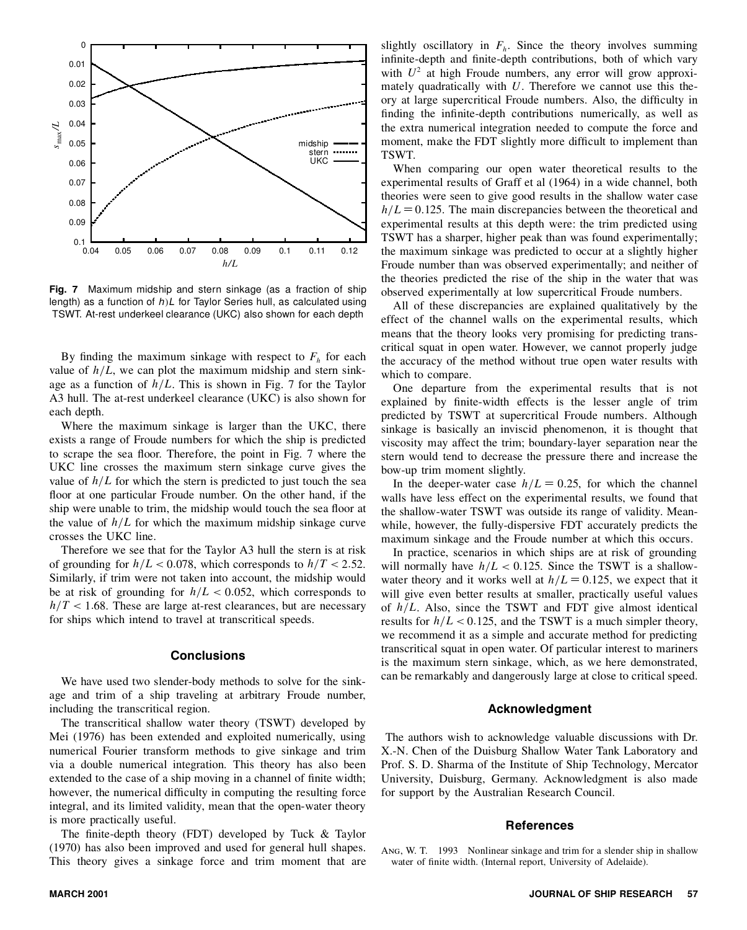

**Fig. 7** Maximum midship and stern sinkage (as a fraction of ship length) as a function of *h/L* for Taylor Series hull, as calculated using TSWT. At-rest underkeel clearance (UKC) also shown for each depth

By finding the maximum sinkage with respect to  $F_h$  for each  $\epsilon$ value of  $h/L$ , we can plot the maximum midship and stern sinkage as a function of  $h/L$ . This is shown in Fig. 7 for the Taylor A3 hull. The at-rest underkeel clearance (UKC) is also shown for each depth.

Where the maximum sinkage is larger than the UKC, there exists a range of Froude numbers for which the ship is predicted to scrape the sea floor. Therefore, the point in Fig. 7 where the UKC line crosses the maximum stern sinkage curve gives the value of  $h/L$  for which the stern is predicted to just touch the sea floor at one particular Froude number. On the other hand, if the ship were unable to trim, the midship would touch the sea floor at the value of  $h/L$  for which the maximum midship sinkage curve crosses the UKC line.

Therefore we see that for the Taylor A3 hull the stern is at risk of grounding for  $h/L < 0.078$ , which corresponds to  $h/T < 2.52$ . Similarly, if trim were not taken into account, the midship would be at risk of grounding for  $h/L < 0.052$ , which corresponds to  $h/T < 1.68$ . These are large at-rest clearances, but are necessary for ships which intend to travel at transcritical speeds.

## **Conclusions**

We have used two slender-body methods to solve for the sinkage and trim of a ship traveling at arbitrary Froude number, including the transcritical region.

The transcritical shallow water theory (TSWT) developed by Mei (1976) has been extended and exploited numerically, using numerical Fourier transform methods to give sinkage and trim via a double numerical integration. This theory has also been extended to the case of a ship moving in a channel of finite width; however, the numerical difficulty in computing the resulting force integral, and its limited validity, mean that the open-water theory is more practically useful.

The finite-depth theory (FDT) developed by Tuck  $&$  Taylor (1970) has also been improved and used for general hull shapes. This theory gives a sinkage force and trim moment that are

slightly oscillatory in  $F_h$ . Since the theory involves summing infinite-depth and finite-depth contributions, both of which vary with  $U^2$  at high Froude numbers, any error will grow approximately quadratically with *U*. Therefore we cannot use this theory at large supercritical Froude numbers. Also, the difficulty in finding the infinite-depth contributions numerically, as well as the extra numerical integration needed to compute the force and moment, make the FDT slightly more difficult to implement than TSWT.

When comparing our open water theoretical results to the experimental results of Graff et al (1964) in a wide channel, both theories were seen to give good results in the shallow water case  $h/L = 0.125$ . The main discrepancies between the theoretical and experimental results at this depth were: the trim predicted using TSWT has a sharper, higher peak than was found experimentally; the maximum sinkage was predicted to occur at a slightly higher Froude number than was observed experimentally; and neither of the theories predicted the rise of the ship in the water that was observed experimentally at low supercritical Froude numbers.

All of these discrepancies are explained qualitatively by the effect of the channel walls on the experimental results, which means that the theory looks very promising for predicting transcritical squat in open water. However, we cannot properly judge the accuracy of the method without true open water results with which to compare.

One departure from the experimental results that is not explained by finite-width effects is the lesser angle of trim predicted by TSWT at supercritical Froude numbers. Although sinkage is basically an inviscid phenomenon, it is thought that viscosity may affect the trim; boundary-layer separation near the stern would tend to decrease the pressure there and increase the bow-up trim moment slightly.

In the deeper-water case  $h/L = 0.25$ , for which the channel walls have less effect on the experimental results, we found that the shallow-water TSWT was outside its range of validity. Meanwhile, however, the fully-dispersive FDT accurately predicts the maximum sinkage and the Froude number at which this occurs.

In practice, scenarios in which ships are at risk of grounding will normally have  $h/L < 0.125$ . Since the TSWT is a shallowwater theory and it works well at  $h/L = 0.125$ , we expect that it will give even better results at smaller, practically useful values of  $h/L$ . Also, since the TSWT and FDT give almost identical results for  $h/L < 0.125$ , and the TSWT is a much simpler theory, we recommend it as a simple and accurate method for predicting transcritical squat in open water. Of particular interest to mariners is the maximum stern sinkage, which, as we here demonstrated, can be remarkably and dangerously large at close to critical speed.

# **Acknowledgment**

The authors wish to acknowledge valuable discussions with Dr. X.-N. Chen of the Duisburg Shallow Water Tank Laboratory and Prof. S. D. Sharma of the Institute of Ship Technology, Mercator University, Duisburg, Germany. Acknowledgment is also made for support by the Australian Research Council.

### **References**

Ang, W. T. 1993 Nonlinear sinkage and trim for a slender ship in shallow water of finite width. (Internal report, University of Adelaide).